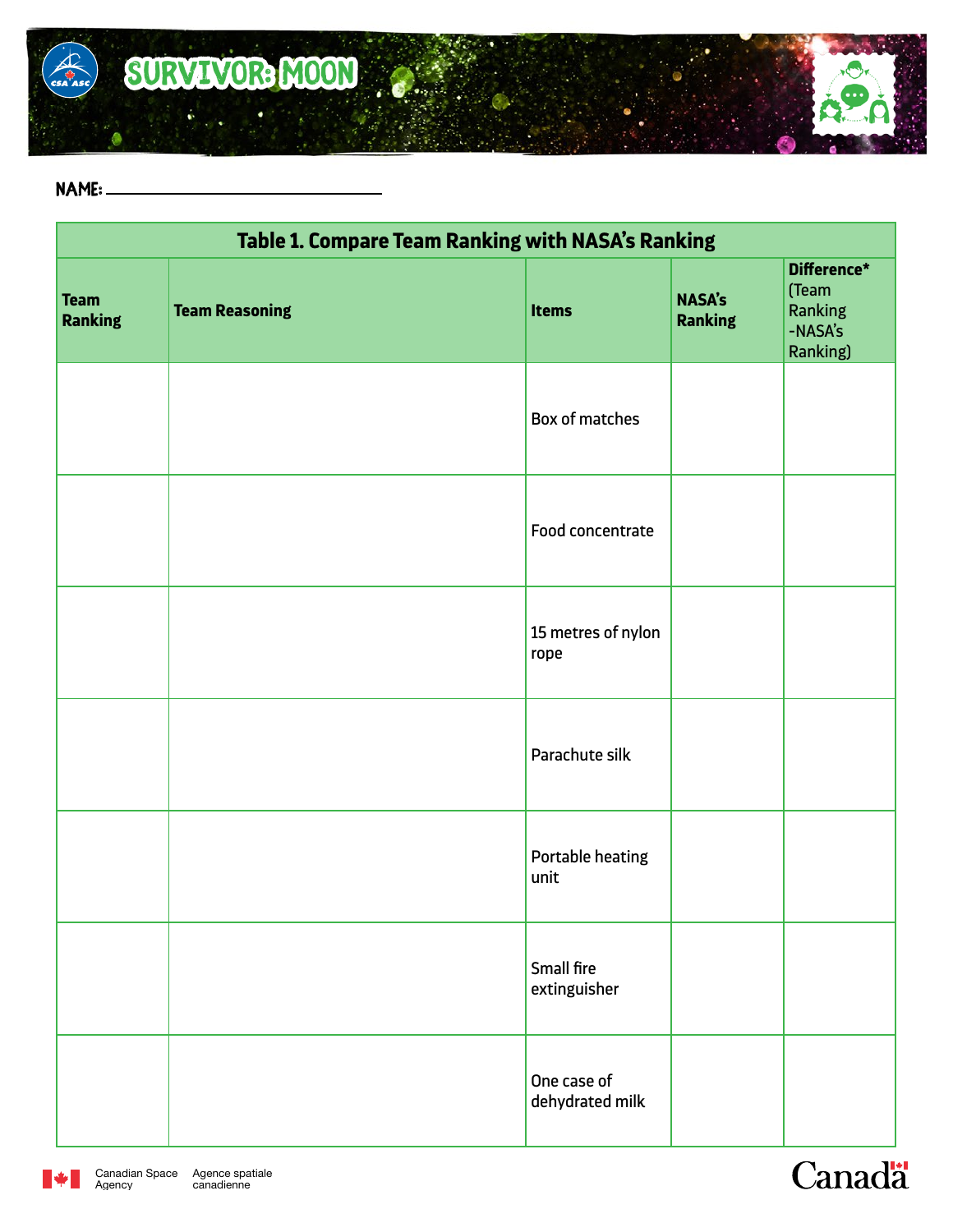

## **name:**

| Table 1. Compare Team Ranking with NASA's Ranking |                       |                                |                                 |                                                        |  |
|---------------------------------------------------|-----------------------|--------------------------------|---------------------------------|--------------------------------------------------------|--|
| <b>Team</b><br><b>Ranking</b>                     | <b>Team Reasoning</b> | <b>Items</b>                   | <b>NASA's</b><br><b>Ranking</b> | Difference*<br>(Team<br>Ranking<br>-NASA's<br>Ranking) |  |
|                                                   |                       | Box of matches                 |                                 |                                                        |  |
|                                                   |                       | Food concentrate               |                                 |                                                        |  |
|                                                   |                       | 15 metres of nylon<br>rope     |                                 |                                                        |  |
|                                                   |                       | Parachute silk                 |                                 |                                                        |  |
|                                                   |                       | Portable heating<br>unit       |                                 |                                                        |  |
|                                                   |                       | Small fire<br>extinguisher     |                                 |                                                        |  |
|                                                   |                       | One case of<br>dehydrated milk |                                 |                                                        |  |



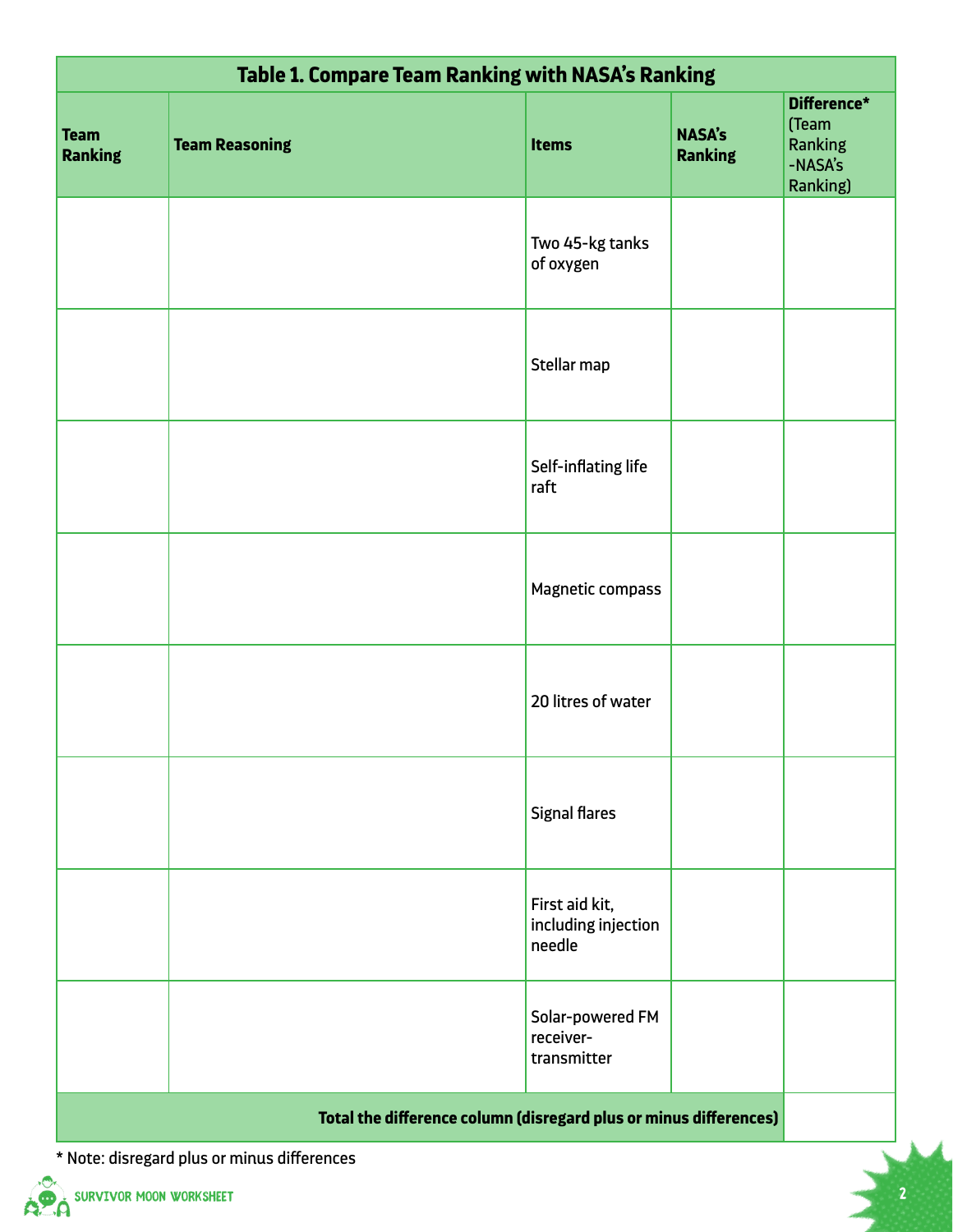| <b>Table 1. Compare Team Ranking with NASA's Ranking</b>          |                       |                                                 |                                 |                                                        |  |
|-------------------------------------------------------------------|-----------------------|-------------------------------------------------|---------------------------------|--------------------------------------------------------|--|
| <b>Team</b><br><b>Ranking</b>                                     | <b>Team Reasoning</b> | <b>Items</b>                                    | <b>NASA's</b><br><b>Ranking</b> | Difference*<br>(Team<br>Ranking<br>-NASA's<br>Ranking) |  |
|                                                                   |                       | Two 45-kg tanks<br>of oxygen                    |                                 |                                                        |  |
|                                                                   |                       | Stellar map                                     |                                 |                                                        |  |
|                                                                   |                       | Self-inflating life<br>raft                     |                                 |                                                        |  |
|                                                                   |                       | Magnetic compass                                |                                 |                                                        |  |
|                                                                   |                       | 20 litres of water                              |                                 |                                                        |  |
|                                                                   |                       | <b>Signal flares</b>                            |                                 |                                                        |  |
|                                                                   |                       | First aid kit,<br>including injection<br>needle |                                 |                                                        |  |
|                                                                   |                       | Solar-powered FM<br>receiver-<br>transmitter    |                                 |                                                        |  |
| Total the difference column (disregard plus or minus differences) |                       |                                                 |                                 |                                                        |  |

\* Note: disregard plus or minus differences